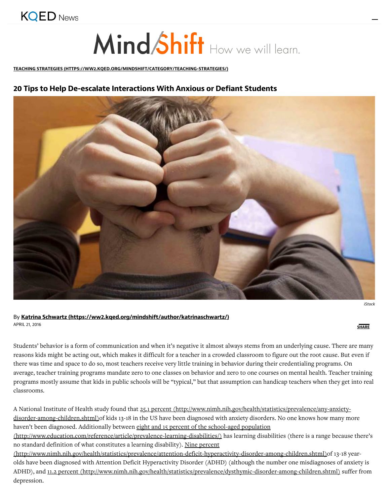

# Mind Shift How we will learn.

TEACHING STRATEGIES (HTTPS://WW2.KQED.ORG/MINDSHIFT/CATEGORY/TEACHING-STRATEGIES/)

# **20 Tip to Help De-ecalate Interaction With Anxiou or Defiant 0tudent**



iStock

¿, **Katrina 0chwartz (http://ww2.kqed.org/mindhift/author/katrinachwartz/)** APRIL 21, <sup>2016</sup> **0HAR"**

Students' behavior is a form of communication and when it's negative it almost always stems from an underlying cause. There are many reasons kids might be acting out, which makes it difficult for a teacher in a crowded classroom to figure out the root cause. But even if there was time and space to do so, most teachers receive very little training in behavior during their credentialing programs. On average, teacher training programs mandate zero to one classes on behavior and zero to one courses on mental health. Teacher training programs mostly assume that kids in public schools will be "typical," but that assumption can handicap teachers when they get into real classrooms.

A National Institute of Health study found that 25.1 percent (http://www.nimh.nih.gov/health/statistics/prevalence/any-anxietydisorder-among-children.shtml)of kids 13-18 in the US have been diagnosed with anxiety disorders. No one knows how many more haven't been diagnosed. Additionally between eight and 15 percent of the school-aged population

(http://www.education.com/reference/article/prevalence-learning-disabilities/) has learning disabilities (there is a range because there's no standard definition of what constitutes a learning disability). Nine percent

(http://www.nimh.nih.gov/health/statistics/prevalence/attention-deficit-hyperactivity-disorder-among-children.shtml)of 13-18 yearolds have been diagnosed with Attention Deficit Hyperactivity Disorder (ADHD) (although the number one misdiagnoses of anxiety is ADHD), and 11.2 percent (http://www.nimh.nih.gov/health/statistics/prevalence/dysthymic-disorder-among-children.shtml) suffer from depression.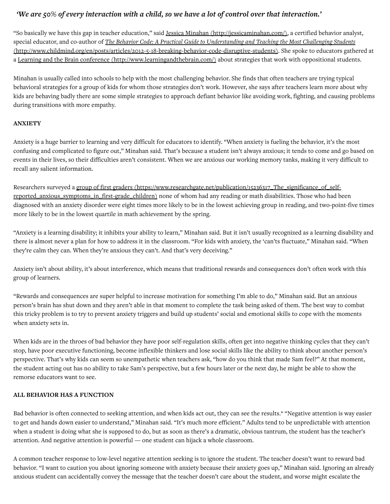# "We are 50% of every interaction with a child, so we have a lot of control over that interaction."

"So basically we have this gap in teacher education," said Jessica Minahan (http://jessicaminahan.com/), a certified behavior analyst, special educator, and co-author of The Behavior Code: A Practical Guide to Understanding and Teaching the Most Challenging Students (http://www.childmind.org/en/posts/articles/2012-5-18-breaking-behavior-code-disruptive-students). She spoke to educators gathered at a Learning and the Brain conference (http://www.learningandthebrain.com/) about strategies that work with oppositional students.

Minahan is usually called into schools to help with the most challenging behavior. She finds that often teachers are trying typical behavioral strategies for a group of kids for whom those strategies don't work. However, she says after teachers learn more about why kids are behaving badly there are some simple strategies to approach defiant behavior like avoiding work, fighting, and causing problems during transitions with more empathy.

### **ANXI&TY**

Anxiety is a huge barrier to learning and very difficult for educators to identify. "When anxiety is fueling the behavior, it's the most confusing and complicated to figure out," Minahan said. That's because a student isn't always anxious; it tends to come and go based on events in their lives, so their difficulties aren't consistent. When we are anxious our working memory tanks, making it very difficult to recall any salient information.

Researchers surveyed a group of first graders (https://www.researchgate.net/publication/15236317\_The\_significance\_of\_selfreported\_anxious\_symptoms\_in\_first-grade\_children) none of whom had any reading or math disabilities. Those who had been diagnosed with an anxiety disorder were eight times more likely to be in the lowest achieving group in reading, and two-point-five times more likely to be in the lowest quartile in math achievement by the spring.

"Anxiety is a learning disability; it inhibits your ability to learn," Minahan said. But it isn't usually recognized as a learning disability and there is almost never a plan for how to address it in the classroom. "For kids with anxiety, the 'can'ts fluctuate," Minahan said. "When they're calm they can. When they're anxious they can't. And that's very deceiving."

Anxiety isn't about ability, it's about interference, which means that traditional rewards and consequences don't often work with this group of learners.

"Rewards and consequences are super helpful to increase motivation for something I'm able to do," Minahan said. But an anxious person's brain has shut down and they aren't able in that moment to complete the task being asked of them. The best way to combat this tricky problem is to try to prevent anxiety triggers and build up students' social and emotional skills to cope with the moments when anxiety sets in.

When kids are in the throes of bad behavior they have poor self-regulation skills, often get into negative thinking cycles that they can't stop, have poor executive functioning, become inflexible thinkers and lose social skills like the ability to think about another person's perspective. That's why kids can seem so unempathetic when teachers ask, "how do you think that made Sam feel?" At that moment, the student acting out has no ability to take Sam's perspective, but a few hours later or the next day, he might be able to show the remorse educators want to see.

#### **ALL BEHAVIOR HAS A FUNCTION**

Bad behavior is often connected to seeking attention, and when kids act out, they can see the results.<sup>\*</sup> "Negative attention is way easier to get and hands down easier to understand," Minahan said. "It's much more efficient." Adults tend to be unpredictable with attention when a student is doing what she is supposed to do, but as soon as there's a dramatic, obvious tantrum, the student has the teacher's attention. And negative attention is powerful — one student can hijack a whole classroom.

A common teacher response to low-level negative attention seeking is to ignore the student. The teacher doesn't want to reward bad behavior. "I want to caution you about ignoring someone with anxiety because their anxiety goes up," Minahan said. Ignoring an already anxious student can accidentally convey the message that the teacher doesn't care about the student, and worse might escalate the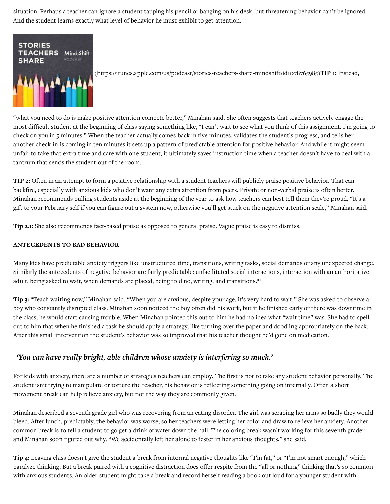situation. Perhaps a teacher can ignore a student tapping his pencil or banging on his desk, but threatening behavior can't be ignored. And the student learns exactly what level of behavior he must exhibit to get attention.



(https://itunes.apple.com/us/podcast/stories-teachers-share-mindshift/id1078765985)TIP **1:** Instead,

"what you need to do is make positive attention compete better," Minahan said. She often suggests that teachers actively engage the most difficult student at the beginning of class saying something like, "I can't wait to see what you think of this assignment. I'm going to check on you in 5 minutes." When the teacher actually comes back in five minutes, validates the student's progress, and tells her another check-in is coming in ten minutes it sets up a pattern of predictable attention for positive behavior. And while it might seem unfair to take that extra time and care with one student, it ultimately saves instruction time when a teacher doesn't have to deal with a tantrum that sends the student out of the room.

**TIP** 2: Often in an attempt to form a positive relationship with a student teachers will publicly praise positive behavior. That can backfire, especially with anxious kids who don't want any extra attention from peers. Private or non-verbal praise is often better. Minahan recommends pulling students aside at the beginning of the year to ask how teachers can best tell them they're proud. "It's a gift to your February self if you can figure out a system now, otherwise you'll get stuck on the negative attention scale," Minahan said.

**Tip** 2.1: She also recommends fact-based praise as opposed to general praise. Vague praise is easy to dismiss.

#### **ANT&C&D&NT4 TO #AD #&HAVIOR**

Many kids have predictable anxiety triggers like unstructured time, transitions, writing tasks, social demands or any unexpected change. Similarly the antecedents of negative behavior are fairly predictable: unfacilitated social interactions, interaction with an authoritative adult, being asked to wait, when demands are placed, being told no, writing, and transitions.\*\*

Tip 3: "Teach waiting now," Minahan said. "When you are anxious, despite your age, it's very hard to wait." She was asked to observe a boy who constantly disrupted class. Minahan soon noticed the boy often did his work, but if he finished early or there was downtime in the class, he would start causing trouble. When Minahan pointed this out to him he had no idea what "wait time" was. She had to spell out to him that when he finished a task he should apply a strategy, like turning over the paper and doodling appropriately on the back. After this small intervention the student's behavior was so improved that his teacher thought he'd gone on medication.

# *'You can* have really bright, able children whose anxiety is interfering so much.'

For kids with anxiety, there are a number of strategies teachers can employ. The first is not to take any student behavior personally. The student isn't trying to manipulate or torture the teacher, his behavior is reflecting something going on internally. Often a short movement break can help relieve anxiety, but not the way they are commonly given.

Minahan described a seventh grade girl who was recovering from an eating disorder. The girl was scraping her arms so badly they would bleed. After lunch, predictably, the behavior was worse, so her teachers were letting her color and draw to relieve her anxiety. Another common break is to tell a student to go get a drink of water down the hall. The coloring break wasn't working for this seventh grader and Minahan soon figured out why. "We accidentally left her alone to fester in her anxious thoughts," she said.

**Tip** 4: Leaving class doesn't give the student a break from internal negative thoughts like "I'm fat," or "I'm not smart enough," which paralyze thinking. But a break paired with a cognitive distraction does offer respite from the "all or nothing" thinking that's so common with anxious students. An older student might take a break and record herself reading a book out loud for a younger student with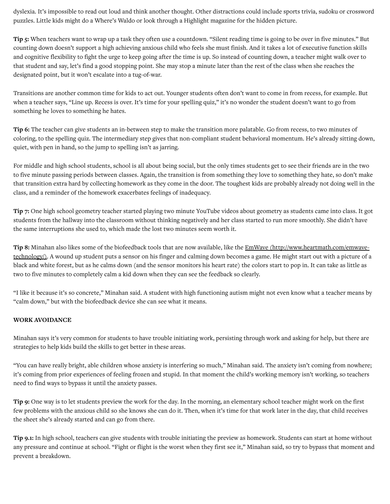dyslexia. It's impossible to read out loud and think another thought. Other distractions could include sports trivia, sudoku or crossword puzzles. Little kids might do a Where's Waldo or look through a Highlight magazine for the hidden picture.

**Tip** 5: When teachers want to wrap up a task they often use a countdown. "Silent reading time is going to be over in five minutes." But counting down doesn't support a high achieving anxious child who feels she must finish. And it takes a lot of executive function skills and cognitive flexibility to fight the urge to keep going after the time is up. So instead of counting down, a teacher might walk over to that student and say, let's find a good stopping point. She may stop a minute later than the rest of the class when she reaches the designated point, but it won't escalate into a tug-of-war.

Transitions are another common time for kids to act out. Younger students often don't want to come in from recess, for example. But when a teacher says, "Line up. Recess is over. It's time for your spelling quiz," it's no wonder the student doesn't want to go from something he loves to something he hates.

**Tip 6:** The teacher can give students an in-between step to make the transition more palatable. Go from recess, to two minutes of coloring, to the spelling quiz. The intermediary step gives that non-compliant student behavioral momentum. He's already sitting down, quiet, with pen in hand, so the jump to spelling isn't as jarring.

For middle and high school students, school is all about being social, but the only times students get to see their friends are in the two to five minute passing periods between classes. Again, the transition is from something they love to something they hate, so don't make that transition extra hard by collecting homework as they come in the door. The toughest kids are probably already not doing well in the class, and a reminder of the homework exacerbates feelings of inadequacy.

**Tip 7:** One high school geometry teacher started playing two minute YouTube videos about geometry as students came into class. It got students from the hallway into the classroom without thinking negatively and her class started to run more smoothly. She didn't have the same interruptions she used to, which made the lost two minutes seem worth it.

Tip 8: Minahan also likes some of the biofeedback tools that are now available, like the **EmWave (http://www.heartmath.com/emwave-** $technology$ . A wound up student puts a sensor on his finger and calming down becomes a game. He might start out with a picture of a</u> black and white forest, but as he calms down (and the sensor monitors his heart rate) the colors start to pop in. It can take as little as two to five minutes to completely calm a kid down when they can see the feedback so clearly.

"I like it because it's so concrete," Minahan said. A student with high functioning autism might not even know what a teacher means by "calm down," but with the biofeedback device she can see what it means.

#### **WORK AVOIDANC&**

Minahan says it's very common for students to have trouble initiating work, persisting through work and asking for help, but there are strategies to help kids build the skills to get better in these areas.

"You can have really bright, able children whose anxiety is interfering so much," Minahan said. The anxiety isn't coming from nowhere; it's coming from prior experiences of feeling frozen and stupid. In that moment the child's working memory isn't working, so teachers need to find ways to bypass it until the anxiety passes.

Tip 9: One way is to let students preview the work for the day. In the morning, an elementary school teacher might work on the first few problems with the anxious child so she knows she can do it. Then, when it's time for that work later in the day, that child receives the sheet she's already started and can go from there.

Tip 9.1: In high school, teachers can give students with trouble initiating the preview as homework. Students can start at home without any pressure and continue at school. "Fight or flight is the worst when they first see it," Minahan said, so try to bypass that moment and prevent a breakdown.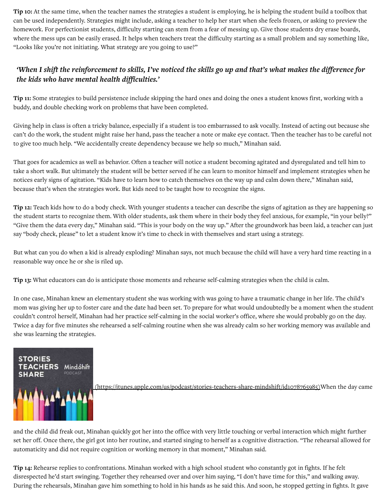**Tip** 10: At the same time, when the teacher names the strategies a student is employing, he is helping the student build a toolbox that can be used independently. Strategies might include, asking a teacher to help her start when she feels frozen, or asking to preview the homework. For perfectionist students, difficulty starting can stem from a fear of messing up. Give those students dry erase boards, where the mess ups can be easily erased. It helps when teachers treat the difficulty starting as a small problem and say something like, "Looks like you're not initiating. What strategy are you going to use?"

# 'When I shift the reinforcement to skills, I've noticed the skills go up and that's what makes the difference for *the kids who have mental health difficulties.'*

**Tip 11:** Some strategies to build persistence include skipping the hard ones and doing the ones a student knows first, working with a buddy, and double checking work on problems that have been completed.

Giving help in class is often a tricky balance, especially if a student is too embarrassed to ask vocally. Instead of acting out because she can't do the work, the student might raise her hand, pass the teacher a note or make eye contact. Then the teacher has to be careful not to give too much help. "We accidentally create dependency because we help so much," Minahan said.

That goes for academics as well as behavior. Often a teacher will notice a student becoming agitated and dysregulated and tell him to take a short walk. But ultimately the student will be better served if he can learn to monitor himself and implement strategies when he notices early signs of agitation. "Kids have to learn how to catch themselves on the way up and calm down there," Minahan said, because that's when the strategies work. But kids need to be taught how to recognize the signs.

**Tip** 12: Teach kids how to do a body check. With younger students a teacher can describe the signs of agitation as they are happening so the student starts to recognize them. With older students, ask them where in their body they feel anxious, for example, "in your belly?" "Give them the data every day," Minahan said. "This is your body on the way up." After the groundwork has been laid, a teacher can just say "body check, please" to let a student know it's time to check in with themselves and start using a strategy.

But what can you do when a kid is already exploding? Minahan says, not much because the child will have a very hard time reacting in a reasonable way once he or she is riled up.

**Tip 13:** What educators can do is anticipate those moments and rehearse self-calming strategies when the child is calm.

In one case, Minahan knew an elementary student she was working with was going to have a traumatic change in her life. The child's mom was giving her up to foster care and the date had been set. To prepare for what would undoubtedly be a moment when the student couldn't control herself, Minahan had her practice self-calming in the social worker's office, where she would probably go on the day. Twice a day for five minutes she rehearsed a self-calming routine when she was already calm so her working memory was available and she was learning the strategies.



(https://itunes.apple.com/us/podcast/stories-teachers-share-mindshift/id1078765985)When the day came

and the child did freak out, Minahan quickly got her into the office with very little touching or verbal interaction which might further set her off. Once there, the girl got into her routine, and started singing to herself as a cognitive distraction. "The rehearsal allowed for automaticity and did not require cognition or working memory in that moment," Minahan said.

**Tip 14:** Rehearse replies to confrontations. Minahan worked with a high school student who constantly got in fights. If he felt disrespected he'd start swinging. Together they rehearsed over and over him saying, "I don't have time for this," and walking away. During the rehearsals, Minahan gave him something to hold in his hands as he said this. And soon, he stopped getting in fights. It gave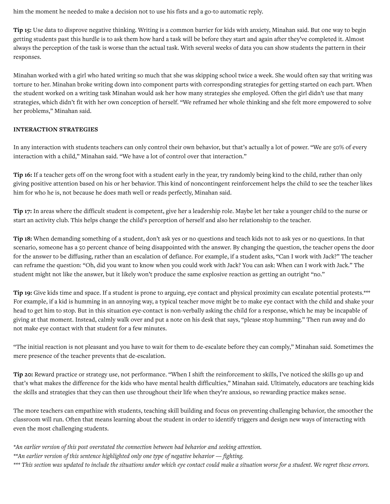him the moment he needed to make a decision not to use his fists and a go-to automatic reply.

**Tip 15:** Use data to disprove negative thinking. Writing is a common barrier for kids with anxiety, Minahan said. But one way to begin getting students past this hurdle is to ask them how hard a task will be before they start and again after they've completed it. Almost always the perception of the task is worse than the actual task. With several weeks of data you can show students the pattern in their responses.

Minahan worked with a girl who hated writing so much that she was skipping school twice a week. She would often say that writing was torture to her. Minahan broke writing down into component parts with corresponding strategies for getting started on each part. When the student worked on a writing task Minahan would ask her how many strategies she employed. Often the girl didn't use that many strategies, which didn't fit with her own conception of herself. "We reframed her whole thinking and she felt more empowered to solve her problems," Minahan said.

# **INTERACTION STRATEGIES**

In any interaction with students teachers can only control their own behavior, but that's actually a lot of power. "We are 50% of every interaction with a child," Minahan said. "We have a lot of control over that interaction."

Tip 16: If a teacher gets off on the wrong foot with a student early in the year, try randomly being kind to the child, rather than only giving positive attention based on his or her behavior. This kind of noncontingent reinforcement helps the child to see the teacher likes him for who he is, not because he does math well or reads perfectly, Minahan said.

**Tip** 17: In areas where the difficult student is competent, give her a leadership role. Maybe let her take a younger child to the nurse or start an activity club. This helps change the child's perception of herself and also her relationship to the teacher.

**Tip 18:** When demanding something of a student, don't ask yes or no questions and teach kids not to ask yes or no questions. In that scenario, someone has a 50 percent chance of being disappointed with the answer. By changing the question, the teacher opens the door for the answer to be diffusing, rather than an escalation of defiance. For example, if a student asks, "Can I work with Jack?" The teacher can reframe the question: "Oh, did you want to know when you could work with Jack? You can ask: When can I work with Jack." The student might not like the answer, but it likely won't produce the same explosive reaction as getting an outright "no."

Tip 19: Give kids time and space. If a student is prone to arguing, eye contact and physical proximity can escalate potential protests.\*\*\* For example, if a kid is humming in an annoying way, a typical teacher move might be to make eye contact with the child and shake your head to get him to stop. But in this situation eye-contact is non-verbally asking the child for a response, which he may be incapable of giving at that moment. Instead, calmly walk over and put a note on his desk that says, "please stop humming." Then run away and do not make eye contact with that student for a few minutes.

"The initial reaction is not pleasant and you have to wait for them to de-escalate before they can comply," Minahan said. Sometimes the mere presence of the teacher prevents that de-escalation.

Tip 20: Reward practice or strategy use, not performance. "When I shift the reinforcement to skills, I've noticed the skills go up and that's what makes the difference for the kids who have mental health difficulties," Minahan said. Ultimately, educators are teaching kids the skills and strategies that they can then use throughout their life when they're anxious, so rewarding practice makes sense.

The more teachers can empathize with students, teaching skill building and focus on preventing challenging behavior, the smoother the classroom will run. Often that means learning about the student in order to identify triggers and design new ways of interacting with even the most challenging students.

*\*An earlier version of this post overstated the connection between bad behavior and seeking attention.* 

*\*\*An* earlier version of this sentence highlighted only one type of negative behavior — fighting.

\*\*\* This section was updated to include the situations under which eye contact could make a situation worse for a student. We regret these errors.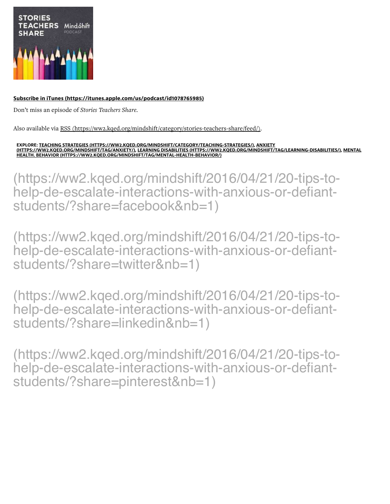

# Subscribe in iTunes (https://itunes.apple.com/us/podcast/id1078765985)

Don't miss an episode of Stories Teachers Share.

Also available via RSS (https://ww2.kged.org/mindshift/category/stories-teachers-share/feed/).

EXPLORE: <u>TEACHING STRATEGIES (HTTPS://WW2.KQED.ORG/MINDSHIFT/CATEGORY/TEACHING-STRATEGIES/), ANXIETY</u><br>(<u>HTTPS://WW2.KQED.ORG/MINDSHIFT/TAG/ANXIETY/)</u>, <u>LEARNING DISABILITIES (HTTPS://WW2.KQED.ORG/MINDSHIFT/TAG/LEARNING-DI</u> HEALTH. BEHAVIOR (HTTPS://WW2.KQED.ORG/MINDSHIFT/TAG/MENTAL-HEALTH-BEHAVIOR/)

(https://ww2.kqed.org/mindshift/2016/04/21/20-tips-tohelp-de-escalate-interactions-with-anxious-or-defiantstudents/?share=facebook&nb=1)

(https://ww2.kged.org/mindshift/2016/04/21/20-tips-tohelp-de-escalate-interactions-with-anxious-or-defiantstudents/?share=twitter&nb=1)

(https://ww2.kqed.org/mindshift/2016/04/21/20-tips-tohelp-de-escalate-interactions-with-anxious-or-defiantstudents/?share=linkedin&nb=1)

(https://ww2.kqed.org/mindshift/2016/04/21/20-tips-tohelp-de-escalate-interactions-with-anxious-or-defiantstudents/?share=pinterest&nb=1)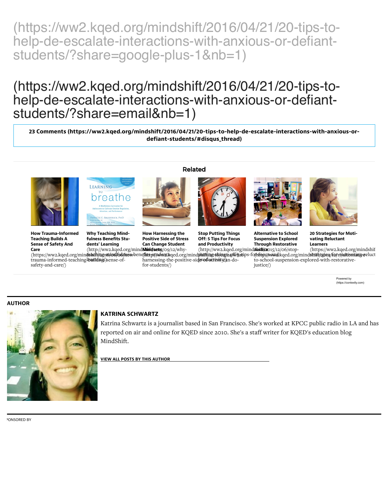(https://ww2.kqed.org/mindshift/2016/04/21/20-tips-tohelp-de-escalate-interactions-with-anxious-or-defiantstudents/?share=google-plus-1&nb=1)

# (https://ww2.kqed.org/mindshift/2016/04/21/20-tips-tohelp-de-escalate-interactions-with-anxious-or-defiantstudents/?share=email&nb=1)

23 Comments (https://ww2.kqed.org/mindshift/2016/04/21/20-tips-to-help-de-escalate-interactions-with-anxious-ordefiant-students/#disqus\_thread)

Related



**How Trauma-Informed Teaching Builds A Sense of Safety And** Care

(http://ww2.kqed.org/mind**Mint/sets**/09/12/whytrauma-informed-teaching building sense-ofsafety-and-care/)



**Why Teaching Mind**fulness Benefits Students' Learning

**How Harnessing the Positive Side of Stress Can Change Student** 

harnessing-the-positive-sideroductionsylan-dofor-students/)

**Stop Putting Things** 

Off: 5 Tips For Focus

and Productivity



**Alternative to School Suspension Explored Through Restorative** 



**20 Strategies for Moti**vating Reluctant Learners

(http://ww2.kqed.org/mind**shifti/20**15/12/06/stop-(https://ww2.kqed.org/mindshif (https://ww2.kqed.org/mindshaftjug-in/indi/hoss-benefhitsps/pdouzkqed.org/mindphiftijug-in/ingshaftgetips-fo(htopu/svandkqed.org/mindshift/zpas/for-maltionianiy-reluct to-school-suspension-explored-with-restorativejustice/)

> Powered by (https://contextly.com)

#### **AUTHOR**



# **KATRINA SCHWARTZ**

Katrina Schwartz is a journalist based in San Francisco. She's worked at KPCC public radio in LA and has reported on air and online for KQED since 2010. She's a staff writer for KQED's education blog MindShift.

**VIEW ALL POSTS BY THIS AUTHOR** 

**PONSORED BY**